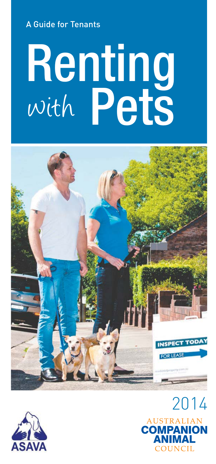A Guide for Tenants

# **Renting**<br>With Pets with





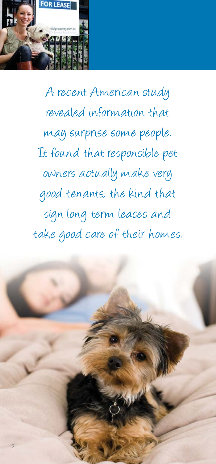

A recent American study revealed information that may surprise some people. It found that responsible pet owners actually make very good tenants; the kind that sign long term leases and take good care of their homes.

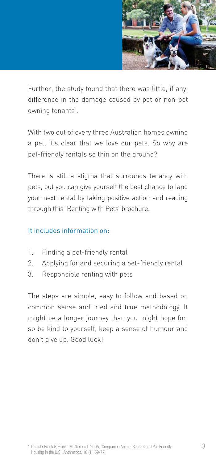

Further, the study found that there was little, if any, difference in the damage caused by pet or non-pet owning tenants<sup>1</sup>.

With two out of every three Australian homes owning a pet, it's clear that we love our pets. So why are pet-friendly rentals so thin on the ground?

There is still a stigma that surrounds tenancy with pets, but you can give yourself the best chance to land your next rental by taking positive action and reading through this 'Renting with Pets' brochure.

#### It includes information on:

- 1. Finding a pet-friendly rental
- 2. Applying for and securing a pet-friendly rental
- 3. Responsible renting with pets

The steps are simple, easy to follow and based on common sense and tried and true methodology. It might be a longer journey than you might hope for, so be kind to yourself, keep a sense of humour and don't give up. Good luck!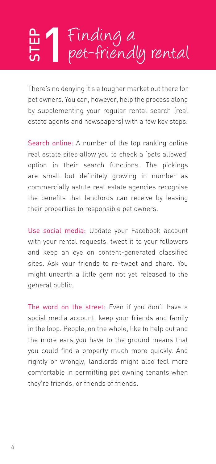### Finding a<br>pet-friendly rental STEP

There's no denying it's a tougher market out there for pet owners. You can, however, help the process along by supplementing your regular rental search (real estate agents and newspapers) with a few key steps.

Search online: A number of the top ranking online real estate sites allow you to check a 'pets allowed' option in their search functions. The pickings are small but definitely growing in number as commercially astute real estate agencies recognise the benefits that landlords can receive by leasing their properties to responsible pet owners.

Use social media: Update your Facebook account with your rental requests, tweet it to your followers and keep an eye on content-generated classified sites. Ask your friends to re-tweet and share. You might unearth a little gem not yet released to the general public.

The word on the street: Even if you don't have a social media account, keep your friends and family in the loop. People, on the whole, like to help out and the more ears you have to the ground means that you could find a property much more quickly. And rightly or wrongly, landlords might also feel more comfortable in permitting pet owning tenants when they're friends, or friends of friends.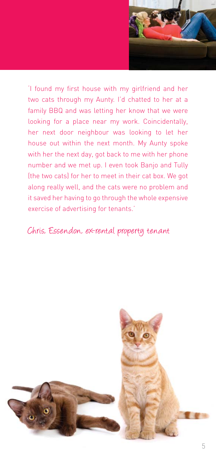

'I found my first house with my girlfriend and her two cats through my Aunty. I'd chatted to her at a family BBQ and was letting her know that we were looking for a place near my work. Coincidentally, her next door neighbour was looking to let her house out within the next month. My Aunty spoke with her the next day, got back to me with her phone number and we met up. I even took Banjo and Tully (the two cats) for her to meet in their cat box. We got along really well, and the cats were no problem and it saved her having to go through the whole expensive exercise of advertising for tenants.'

#### Chris, Essendon, ex-rental property tenant

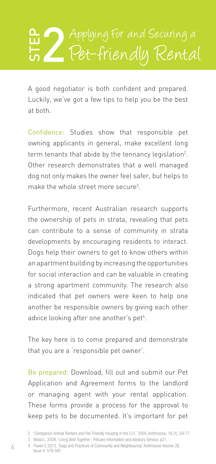## Pet-friendly Rental

A good negotiator is both confident and prepared. Luckily, we've got a few tips to help you be the best at both.

Confidence: Studies show that responsible pet owning applicants in general, make excellent long term tenants that abide by the tennancy legislation2 . Other research demonstrates that a well managed dog not only makes the owner feel safer, but helps to make the whole street more secure<sup>3</sup>.

Furthermore, recent Australian research supports the ownership of pets in strata, revealing that pets can contribute to a sense of community in strata developments by encouraging residents to interact. Dogs help their owners to get to know others within an apartment building by increasing the opportunities for social interaction and can be valuable in creating a strong apartment community. The research also indicated that pet owners were keen to help one another be responsible owners by giving each other advice looking after one another's pet<sup>4</sup>.

The key here is to come prepared and demonstrate that you are a 'responsible pet owner'.

Be prepared: Download, fill out and submit our Pet Application and Agreement forms to the landlord or managing agent with your rental application. These forms provide a process for the approval to keep pets to be documented. It's important for pet

<sup>2 &#</sup>x27;Companion Animal Renters and Pet-Friendly Housing in the U.S.' 2005, Anthrozoos, 18 (1), 59-77.

<sup>3</sup> Wood L. 2009, 'Living Well Together', Petcare Information and Advisory Service, p21.

<sup>4</sup> Power E 2013, 'Dogs and Practices of Community and Neighbouring' Anthrozoos Volume 26, Issue 4. 579-581.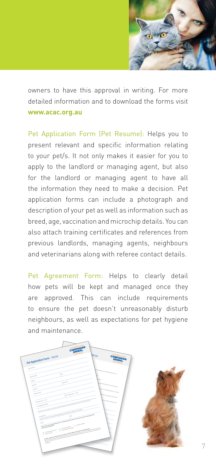

owners to have this approval in writing. For more detailed information and to download the forms visit **www.acac.org.au**

Pet Application Form (Pet Resume): Helps you to present relevant and specific information relating to your pet/s. It not only makes it easier for you to apply to the landlord or managing agent, but also for the landlord or managing agent to have all the information they need to make a decision. Pet application forms can include a photograph and description of your pet as well as information such as breed, age, vaccination and microchip details. You can also attach training certificates and references from previous landlords, managing agents, neighbours and veterinarians along with referee contact details.

Pet Agreement Form: Helps to clearly detail how pets will be kept and managed once they are approved. This can include requirements to ensure the pet doesn't unreasonably disturb neighbours, as well as expectations for pet hygiene and maintenance.

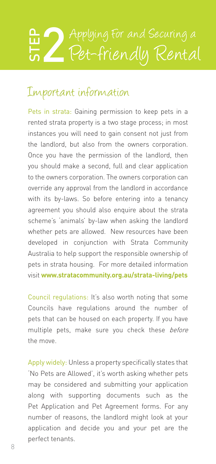### Pet-friendly Rental

#### Important information

Pets in strata: Gaining permission to keep pets in a rented strata property is a two stage process; in most instances you will need to gain consent not just from the landlord, but also from the owners corporation. Once you have the permission of the landlord, then you should make a second, full and clear application to the owners corporation. The owners corporation can override any approval from the landlord in accordance with its by-laws. So before entering into a tenancy agreement you should also enquire about the strata scheme's 'animals' by-law when asking the landlord whether pets are allowed. New resources have been developed in conjunction with Strata Community Australia to help support the responsible ownership of pets in strata housing. For more detailed information visit **www.stratacommunity.org.au/strata-living/pets Example 18** Applying For and Securing a<br> **Example 18 Applying For and Securing a**<br> **Cot** - **friendly** Rental<br> **Engants** is in strata: Gaining permission to keep pets in a<br>
rented strata property is a two stage process; in

Council regulations: It's also worth noting that some Councils have regulations around the number of pets that can be housed on each property. If you have multiple pets, make sure you check these before the move.

Apply widely: Unless a property specifically states that 'No Pets are Allowed', it's worth asking whether pets may be considered and submitting your application along with supporting documents such as the Pet Application and Pet Agreement forms. For any number of reasons, the landlord might look at your application and decide you and your pet are the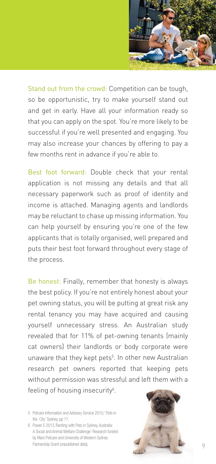

Stand out from the crowd: Competition can be tough, so be opportunistic, try to make yourself stand out and get in early. Have all your information ready so that you can apply on the spot. You're more likely to be successful if you're well presented and engaging. You may also increase your chances by offering to pay a few months rent in advance if you're able to.

Best foot forward: Double check that your rental application is not missing any details and that all necessary paperwork such as proof of identity and income is attached. Managing agents and landlords may be reluctant to chase up missing information. You can help yourself by ensuring you're one of the few applicants that is totally organised, well prepared and puts their best foot forward throughout every stage of the process.

Be honest: Finally, remember that honesty is always the best policy. If you're not entirely honest about your pet owning status, you will be putting at great risk any rental tenancy you may have acquired and causing yourself unnecessary stress. An Australian study revealed that for 11% of pet-owning tenants (mainly cat owners) their landlords or body corporate were unaware that they kept pets<sup>5</sup>. In other new Australian research pet owners reported that keeping pets without permission was stressful and left them with a feeling of housing insecurity<sup>6</sup>.

5 Petcare Information and Advisory Service 2010,' Pets in the City' Sydney, pp 17.

6 Power E 2013,'Renting with Pets in Sydney, Australia: A Social and Animal Welfare Challenge' Research funded by Mars Petcare and University of Western Sydney Partnership Grant (unpublished data).

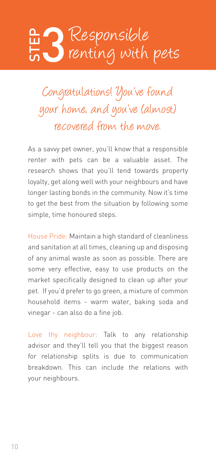## renting with pets

Congratulations! You've found your home, and you've (almost) recovered from the move.

As a savvy pet owner, you'll know that a responsible renter with pets can be a valuable asset. The research shows that you'll tend towards property loyalty, get along well with your neighbours and have longer lasting bonds in the community. Now it's time to get the best from the situation by following some simple, time honoured steps.

House Pride: Maintain a high standard of cleanliness and sanitation at all times, cleaning up and disposing of any animal waste as soon as possible. There are some very effective, easy to use products on the market specifically designed to clean up after your pet. If you'd prefer to go green, a mixture of common household items - warm water, baking soda and vinegar - can also do a fine job. **Example 18 Compared Compared Compared Compared Compared Compared Compared Compared Compared Compare 1990 Compared Compare 1990 Compare 1990 Compare 1990 Compare 1990 Compare 1990 Compare 1991 Compare 1991 Compare 1991 Com** 

Love thy neighbour: Talk to any relationship advisor and they'll tell you that the biggest reason for relationship splits is due to communication breakdown. This can include the relations with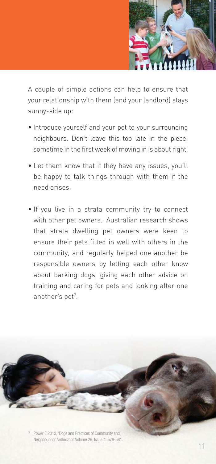

A couple of simple actions can help to ensure that your relationship with them (and your landlord) stays sunny-side up:

- Introduce yourself and your pet to your surrounding neighbours. Don't leave this too late in the piece; sometime in the first week of moving in is about right.
- Let them know that if they have any issues, you'll be happy to talk things through with them if the need arises.
- If you live in a strata community try to connect with other pet owners. Australian research shows that strata dwelling pet owners were keen to ensure their pets fitted in well with others in the community, and regularly helped one another be responsible owners by letting each other know about barking dogs, giving each other advice on training and caring for pets and looking after one another's pet<sup>7</sup>.

7 Power E 2013, 'Dogs and Practices of Community and Neighbouring' Anthrozoos Volume 26, Issue 4. 579-581.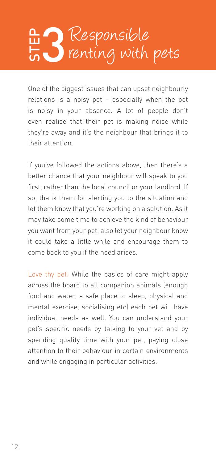## renting with pets

One of the biggest issues that can upset neighbourly relations is a noisy pet – especially when the pet is noisy in your absence. A lot of people don't even realise that their pet is making noise while they're away and it's the neighbour that brings it to their attention.

If you've followed the actions above, then there's a better chance that your neighbour will speak to you first, rather than the local council or your landlord. If so, thank them for alerting you to the situation and let them know that you're working on a solution. As it may take some time to achieve the kind of behaviour you want from your pet, also let your neighbour know it could take a little while and encourage them to come back to you if the need arises.

Love thy pet: While the basics of care might apply across the board to all companion animals (enough food and water, a safe place to sleep, physical and mental exercise, socialising etc) each pet will have individual needs as well. You can understand your pet's specific needs by talking to your vet and by spending quality time with your pet, paying close attention to their behaviour in certain environments **Example 18 Community Controlled Community Controlled Controlled Supering 19 Controlled Supering in particular activities in the several realists in their activities in the several realists in their activities in the sever**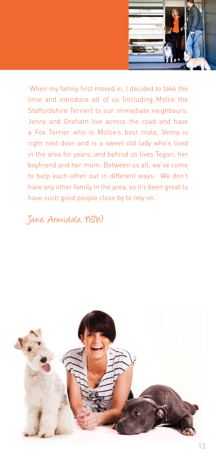

'When my family first moved in, I decided to take the time and introduce all of us (including Mollie the Staffordshire Terrier) to our immediate neighbours. Jenny and Graham live across the road and have a Fox Terrier who is Mollie's best mate, Verna is right next door and is a sweet old lady who's lived in the area for years, and behind us lives Tegan, her boyfriend and her mum. Between us all, we've come to help each other out in different ways. We don't have any other family in the area, so it's been great to have such good people close by to rely on.'

#### Jane, Armidale, NSW

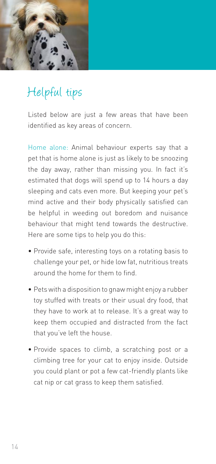

#### Helpful tips

Listed below are just a few areas that have been identified as key areas of concern.

Home alone: Animal behaviour experts say that a pet that is home alone is just as likely to be snoozing the day away, rather than missing you. In fact it's estimated that dogs will spend up to 14 hours a day sleeping and cats even more. But keeping your pet's mind active and their body physically satisfied can be helpful in weeding out boredom and nuisance behaviour that might tend towards the destructive. Here are some tips to help you do this:

- Provide safe, interesting toys on a rotating basis to challenge your pet, or hide low fat, nutritious treats around the home for them to find.
- Pets with a disposition to gnaw might enjoy a rubber toy stuffed with treats or their usual dry food, that they have to work at to release. It's a great way to keep them occupied and distracted from the fact that you've left the house.
- Provide spaces to climb, a scratching post or a climbing tree for your cat to enjoy inside. Outside you could plant or pot a few cat-friendly plants like cat nip or cat grass to keep them satisfied.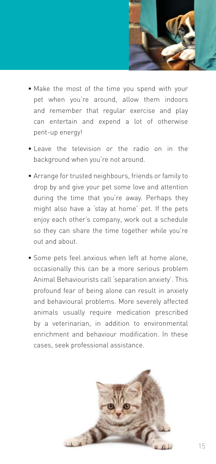

- Make the most of the time you spend with your pet when you're around, allow them indoors and remember that regular exercise and play can entertain and expend a lot of otherwise pent-up energy!
- Leave the television or the radio on in the background when you're not around.
- Arrange for trusted neighbours, friends or family to drop by and give your pet some love and attention during the time that you're away. Perhaps they might also have a 'stay at home' pet. If the pets enjoy each other's company, work out a schedule so they can share the time together while you're out and about.
- Some pets feel anxious when left at home alone, occasionally this can be a more serious problem Animal Behaviourists call 'separation anxiety'. This profound fear of being alone can result in anxiety and behavioural problems. More severely affected animals usually require medication prescribed by a veterinarian, in addition to environmental enrichment and behaviour modification. In these cases, seek professional assistance.

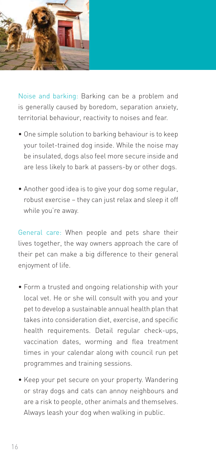

Noise and barking: Barking can be a problem and is generally caused by boredom, separation anxiety, territorial behaviour, reactivity to noises and fear.

- One simple solution to barking behaviour is to keep your toilet-trained dog inside. While the noise may be insulated, dogs also feel more secure inside and are less likely to bark at passers-by or other dogs.
- Another good idea is to give your dog some regular, robust exercise – they can just relax and sleep it off while you're away.

General care: When people and pets share their lives together, the way owners approach the care of their pet can make a big difference to their general enjoyment of life.

- Form a trusted and ongoing relationship with your local vet. He or she will consult with you and your pet to develop a sustainable annual health plan that takes into consideration diet, exercise, and specific health requirements. Detail regular check-ups, vaccination dates, worming and flea treatment times in your calendar along with council run pet programmes and training sessions.
- Keep your pet secure on your property. Wandering or stray dogs and cats can annoy neighbours and are a risk to people, other animals and themselves. Always leash your dog when walking in public.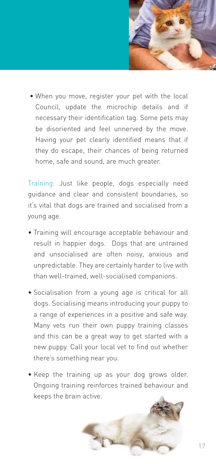

 • When you move, register your pet with the local Council, update the microchip details and if necessary their identification tag. Some pets may be disoriented and feel unnerved by the move. Having your pet clearly identified means that if they do escape, their chances of being returned home, safe and sound, are much greater.

Training: Just like people, dogs especially need guidance and clear and consistent boundaries, so it's vital that dogs are trained and socialised from a young age.

- Training will encourage acceptable behaviour and result in happier dogs. Dogs that are untrained and unsocialised are often noisy, anxious and unpredictable. They are certainly harder to live with than well-trained, well-socialised companions.
- Socialisation from a young age is critical for all dogs. Socialising means introducing your puppy to a range of experiences in a positive and safe way. Many vets run their own puppy training classes and this can be a great way to get started with a new puppy. Call your local vet to find out whether there's something near you.
- Keep the training up as your dog grows older. Ongoing training reinforces trained behaviour and keeps the brain active.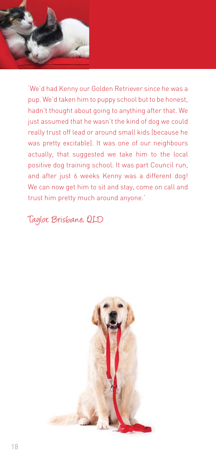

'We'd had Kenny our Golden Retriever since he was a pup. We'd taken him to puppy school but to be honest, hadn't thought about going to anything after that. We just assumed that he wasn't the kind of dog we could really trust off lead or around small kids (because he was pretty excitable). It was one of our neighbours actually, that suggested we take him to the local positive dog training school. It was part Council run, and after just 6 weeks Kenny was a different dog! We can now get him to sit and stay, come on call and trust him pretty much around anyone.'

Taylor, Brisbane, QLD

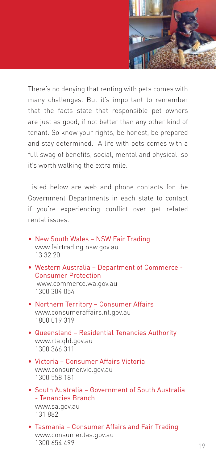

There's no denying that renting with pets comes with many challenges. But it's important to remember that the facts state that responsible pet owners are just as good, if not better than any other kind of tenant. So know your rights, be honest, be prepared and stay determined. A life with pets comes with a full swag of benefits, social, mental and physical, so it's worth walking the extra mile.

Listed below are web and phone contacts for the Government Departments in each state to contact if you're experiencing conflict over pet related rental issues.

- New South Wales NSW Fair Trading www.fairtrading.nsw.gov.au 13 32 20
- Western Australia Department of Commerce Consumer Protection www.commerce.wa.gov.au 1300 304 054
- Northern Territory Consumer Affairs www.consumeraffairs.nt.gov.au 1800 019 319
- Queensland Residential Tenancies Authority www.rta.qld.gov.au 1300 366 311
- Victoria Consumer Affairs Victoria www.consumer.vic.gov.au 1300 558 181
- South Australia Government of South Australia - Tenancies Branch www.sa.gov.au 131 882
- Tasmania Consumer Affairs and Fair Trading www.consumer.tas.gov.au 1300 654 499